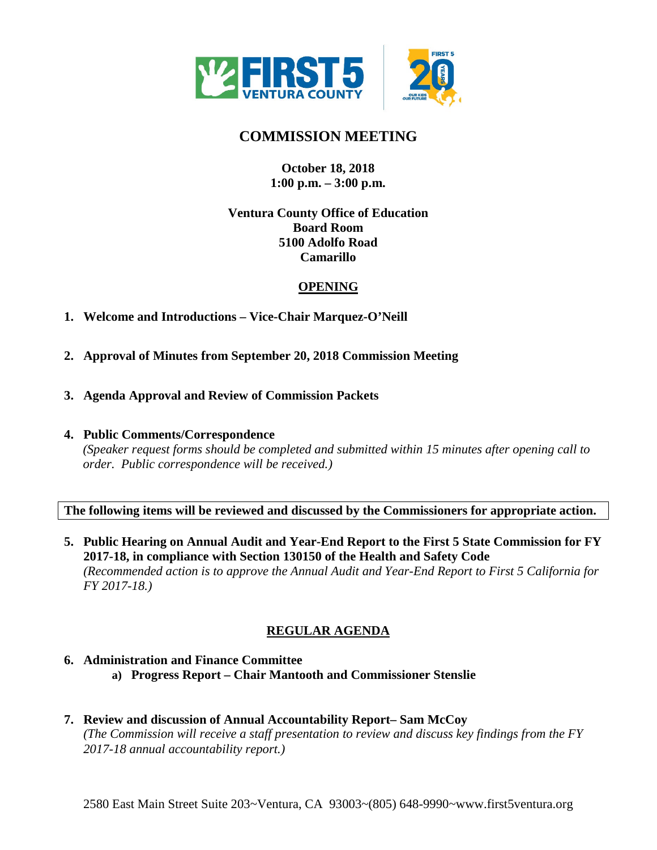

# **COMMISSION MEETING**

### **October 18, 2018 1:00 p.m. – 3:00 p.m.**

### **Ventura County Office of Education Board Room 5100 Adolfo Road Camarillo**

# **OPENING**

- **1. Welcome and Introductions Vice-Chair Marquez-O'Neill**
- **2. Approval of Minutes from September 20, 2018 Commission Meeting**
- **3. Agenda Approval and Review of Commission Packets**
- **4. Public Comments/Correspondence**

*(Speaker request forms should be completed and submitted within 15 minutes after opening call to order. Public correspondence will be received.)*

**The following items will be reviewed and discussed by the Commissioners for appropriate action.**

**5. Public Hearing on Annual Audit and Year-End Report to the First 5 State Commission for FY 2017-18, in compliance with Section 130150 of the Health and Safety Code** *(Recommended action is to approve the Annual Audit and Year-End Report to First 5 California for FY 2017-18.)*

# **REGULAR AGENDA**

## **6. Administration and Finance Committee a) Progress Report – Chair Mantooth and Commissioner Stenslie**

**7. Review and discussion of Annual Accountability Report– Sam McCoy** *(The Commission will receive a staff presentation to review and discuss key findings from the FY 2017-18 annual accountability report.)*